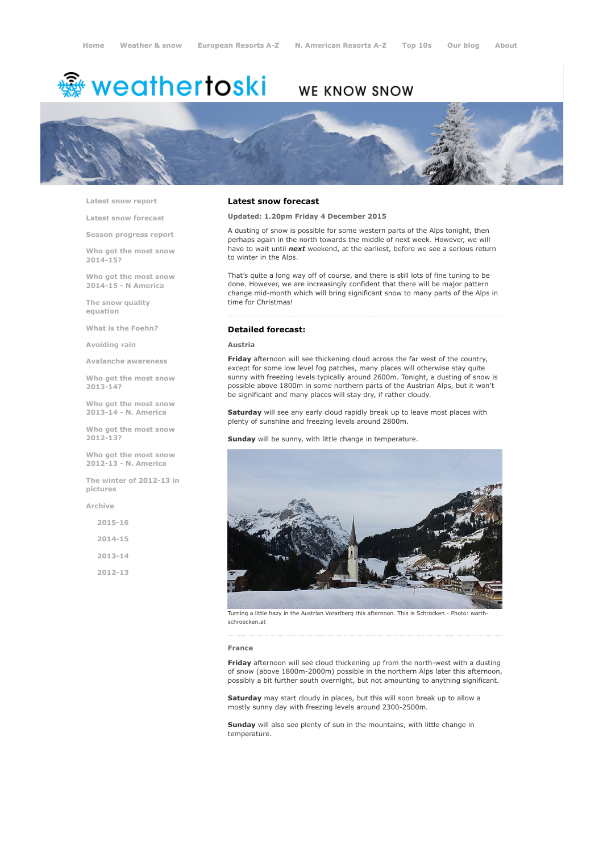# <sup>霧</sup> weathertoski

# WE KNOW SNOW



Latest snow [report](http://www.weathertoski.co.uk/weather-snow/latest-snow-report/)

Latest snow [forecast](http://www.weathertoski.co.uk/weather-snow/latest-snow-forecast/)

Season [progress](http://www.weathertoski.co.uk/weather-snow/season-progress-report/) report

Who got the most snow 2014-15?

Who got the most snow 2014-15 - N America

The snow quality [equation](http://www.weathertoski.co.uk/weather-snow/the-snow-quality-equation/)

What is the [Foehn?](http://www.weathertoski.co.uk/weather-snow/what-is-the-foehn/)

[Avoiding](http://www.weathertoski.co.uk/weather-snow/avoiding-rain/) rain

Avalanche [awareness](http://www.weathertoski.co.uk/weather-snow/avalanche-awareness/)

Who got the most snow 2013-14?

Who got the most snow 2013-14 - N. America

Who got the most snow 2012-13?

Who got the most snow 2012-13 - N. America

The winter of 2012-13 in pictures

[Archive](http://www.weathertoski.co.uk/weather-snow/archive/)

2015-16 2014-15 2013-14

2012-13

## Latest snow forecast

Updated: 1.20pm Friday 4 December 2015

A dusting of snow is possible for some western parts of the Alps tonight, then perhaps again in the north towards the middle of next week. However, we will have to wait until *next* weekend, at the earliest, before we see a serious return to winter in the Alps.

That's quite a long way off of course, and there is still lots of fine tuning to be done. However, we are increasingly confident that there will be major pattern change mid-month which will bring significant snow to many parts of the Alps in time for Christmas!

# Detailed forecast:

#### Austria

Friday afternoon will see thickening cloud across the far west of the country, except for some low level fog patches, many places will otherwise stay quite sunny with freezing levels typically around 2600m. Tonight, a dusting of snow is possible above 1800m in some northern parts of the Austrian Alps, but it won't be significant and many places will stay dry, if rather cloudy.

Saturday will see any early cloud rapidly break up to leave most places with plenty of sunshine and freezing levels around 2800m.

Sunday will be sunny, with little change in temperature.



Turning a little hazy in the Austrian Vorarlberg this afternoon. This is Schröcken Photo: warthschroecken.at

#### France

Friday afternoon will see cloud thickening up from the north-west with a dusting of snow (above 1800m-2000m) possible in the northern Alps later this afternoon, possibly a bit further south overnight, but not amounting to anything significant.

Saturday may start cloudy in places, but this will soon break up to allow a mostly sunny day with freezing levels around 2300-2500m.

Sunday will also see plenty of sun in the mountains, with little change in temperature.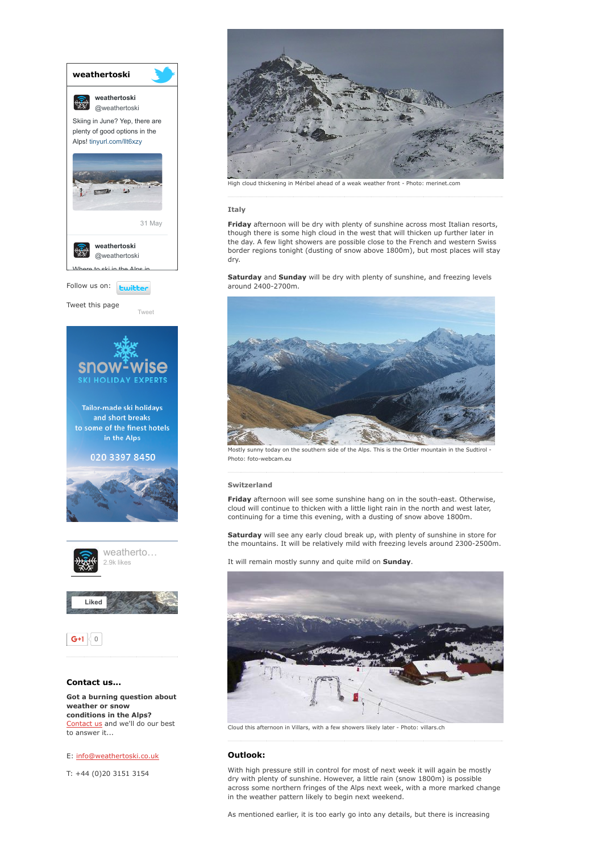

E: [info@weathertoski.co.uk](mailto:fraser@weathertoski.co.uk)

T: +44 (0)20 3151 3154



High cloud thickening in Méribel ahead of a weak weather front - Photo: merinet.com

#### Italy

Friday afternoon will be dry with plenty of sunshine across most Italian resorts, though there is some high cloud in the west that will thicken up further later in the day. A few light showers are possible close to the French and western Swiss border regions tonight (dusting of snow above 1800m), but most places will stay dry.

Saturday and Sunday will be dry with plenty of sunshine, and freezing levels around 2400-2700m.



Mostly sunny today on the southern side of the Alps. This is the Ortler mountain in the Sudtirol Photo: foto-webcam.eu

#### Switzerland

Friday afternoon will see some sunshine hang on in the south-east. Otherwise, cloud will continue to thicken with a little light rain in the north and west later, continuing for a time this evening, with a dusting of snow above 1800m.

Saturday will see any early cloud break up, with plenty of sunshine in store for the mountains. It will be relatively mild with freezing levels around 2300-2500m.

It will remain mostly sunny and quite mild on Sunday.



Cloud this afternoon in Villars, with a few showers likely later - Photo: villars.ch

## Outlook:

With high pressure still in control for most of next week it will again be mostly dry with plenty of sunshine. However, a little rain (snow 1800m) is possible across some northern fringes of the Alps next week, with a more marked change in the weather pattern likely to begin next weekend.

As mentioned earlier, it is too early go into any details, but there is increasing